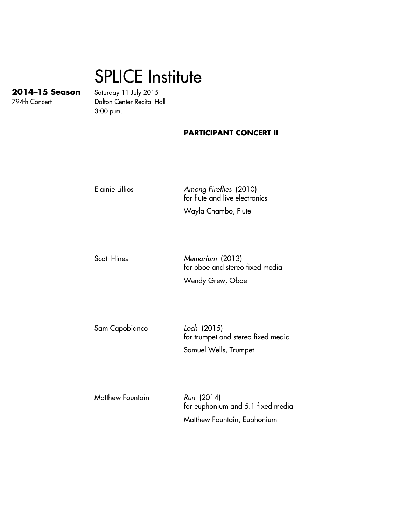## SPLICE Institute

**2014–15 Season** Saturday 11 July 2015 Dalton Center Recital Hall 3:00 p.m.

## **PARTICIPANT CONCERT II**

Elainie Lillios Among Fireflies (2010) for flute and live electronics

Wayla Chambo, Flute

Scott Hines Memorium (2013) for oboe and stereo fixed media Wendy Grew, Oboe

Sam Capobianco Loch (2015) for trumpet and stereo fixed media Samuel Wells, Trumpet

Matthew Fountain Run (2014) for euphonium and 5.1 fixed media Matthew Fountain, Euphonium